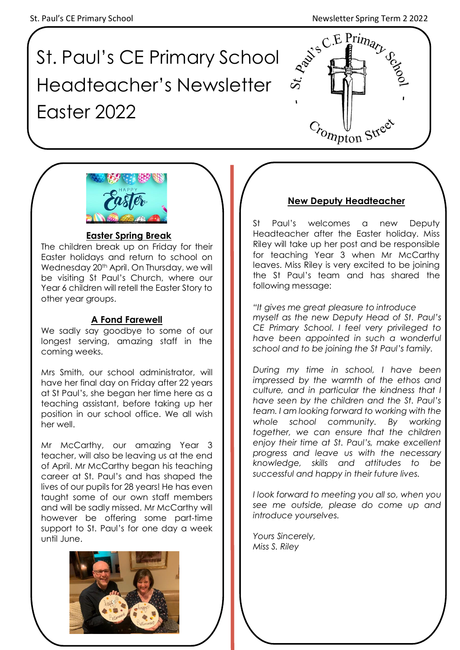# St. Paul's CE Primary School Headteacher's Newsletter Easter 2022





# **Easter Spring Break**

The children break up on Friday for their Easter holidays and return to school on Wednesday 20<sup>th</sup> April. On Thursday, we will be visiting St Paul's Church, where our Year 6 children will retell the Easter Story to other year groups.

# **A Fond Farewell**

We sadly say goodbye to some of our longest serving, amazing staff in the coming weeks.

Mrs Smith, our school administrator, will have her final day on Friday after 22 years at St Paul's, she began her time here as a teaching assistant, before taking up her position in our school office. We all wish her well.

Mr McCarthy, our amazing Year 3 teacher, will also be leaving us at the end of April. Mr McCarthy began his teaching career at St. Paul's and has shaped the lives of our pupils for 28 years! He has even taught some of our own staff members and will be sadly missed. Mr McCarthy will however be offering some part-time support to St. Paul's for one day a week until June.



# **New Deputy Headteacher**

St Paul's welcomes a new Deputy Headteacher after the Easter holiday. Miss Riley will take up her post and be responsible for teaching Year 3 when Mr McCarthy leaves. Miss Riley is very excited to be joining the St Paul's team and has shared the following message:

*"It gives me great pleasure to introduce myself as the new Deputy Head of St. Paul's CE Primary School. I feel very privileged to have been appointed in such a wonderful school and to be joining the St Paul's family.* 

*During my time in school, I have been impressed by the warmth of the ethos and culture, and in particular the kindness that I have seen by the children and the St. Paul's team. I am looking forward to working with the whole school community. By working together, we can ensure that the children enjoy their time at St. Paul's, make excellent progress and leave us with the necessary knowledge, skills and attitudes to be successful and happy in their future lives.* 

*I look forward to meeting you all so, when you see me outside, please do come up and introduce yourselves.*

*Yours Sincerely, Miss S. Riley*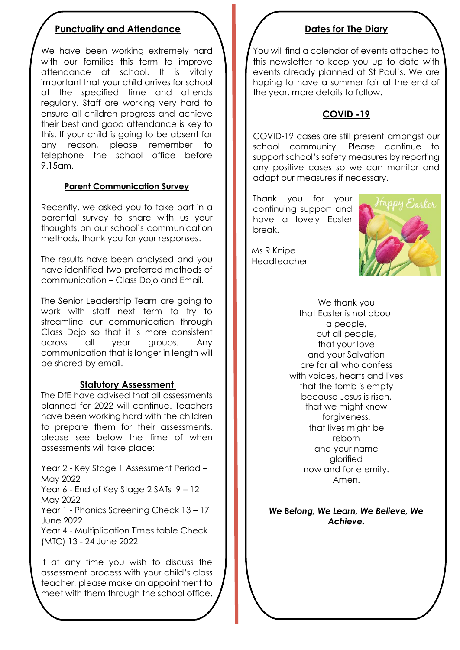## **Punctuality and Attendance**

We have been working extremely hard with our families this term to improve attendance at school. It is vitally important that your child arrives for school at the specified time and attends regularly. Staff are working very hard to ensure all children progress and achieve their best and good attendance is key to this. If your child is going to be absent for any reason, please remember to telephone the school office before 9.15am.

#### **Parent Communication Survey**

Recently, we asked you to take part in a parental survey to share with us your thoughts on our school's communication methods, thank you for your responses.

The results have been analysed and you have identified two preferred methods of communication – Class Dojo and Email.

The Senior Leadership Team are going to work with staff next term to try to streamline our communication through Class Dojo so that it is more consistent across all year groups. Any communication that is longer in length will be shared by email.

#### **Statutory Assessment**

The DfE have advised that all assessments planned for 2022 will continue. Teachers have been working hard with the children to prepare them for their assessments, please see below the time of when assessments will take place:

Year 2 - Key Stage 1 Assessment Period – May 2022

Year 6 - End of Key Stage 2 SATs  $9 - 12$ May 2022

Year 1 - Phonics Screening Check 13 – 17 June 2022

Year 4 - Multiplication Times table Check (MTC) 13 - 24 June 2022

If at any time you wish to discuss the assessment process with your child's class teacher, please make an appointment to meet with them through the school office.

#### **Dates for The Diary**

You will find a calendar of events attached to this newsletter to keep you up to date with events already planned at St Paul's. We are hoping to have a summer fair at the end of the year, more details to follow.

## **COVID -19**

COVID-19 cases are still present amongst our school community. Please continue to support school's safety measures by reporting any positive cases so we can monitor and adapt our measures if necessary.

Thank you for your continuing support and have a lovely Easter break.



 Ms R Knipe Headteacher

> We thank you that Easter is not about a people, but all people, that your love and your Salvation are for all who confess with voices, hearts and lives that the tomb is empty because Jesus is risen, that we might know forgiveness, that lives might be reborn and your name glorified now and for eternity. Amen.

#### *We Belong, We Learn, We Believe, We Achieve.*